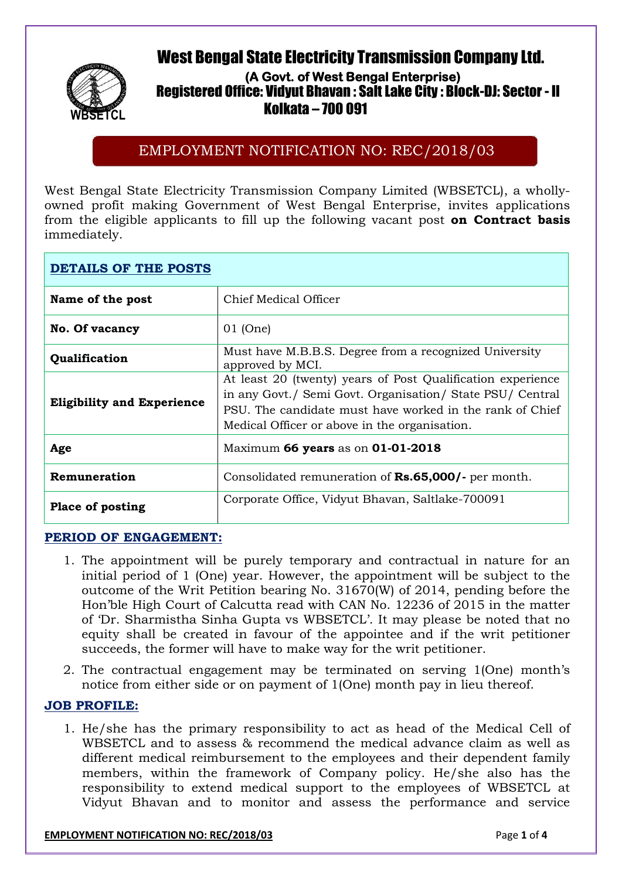# **West Bengal State Electricity Transmission Company Ltd.**



## **(A Govt. of West Bengal Enterprise) Registered Office: Vidyut Bhavan : Salt Lake City : Block-DJ: Sector - II WBSETCL Kolkata – 700 091**

## EMPLOYMENT NOTIFICATION NO: REC/2018/03

West Bengal State Electricity Transmission Company Limited (WBSETCL), a whollyowned profit making Government of West Bengal Enterprise, invites applications from the eligible applicants to fill up the following vacant post **on Contract basis** immediately.

| <b>DETAILS OF THE POSTS</b>       |                                                                                                                                                                                                                                       |
|-----------------------------------|---------------------------------------------------------------------------------------------------------------------------------------------------------------------------------------------------------------------------------------|
| Name of the post                  | Chief Medical Officer                                                                                                                                                                                                                 |
| <b>No. Of vacancy</b>             | $01$ (One)                                                                                                                                                                                                                            |
| Qualification                     | Must have M.B.B.S. Degree from a recognized University<br>approved by MCI.                                                                                                                                                            |
| <b>Eligibility and Experience</b> | At least 20 (twenty) years of Post Qualification experience<br>in any Govt./ Semi Govt. Organisation/ State PSU/ Central<br>PSU. The candidate must have worked in the rank of Chief<br>Medical Officer or above in the organisation. |
| Age                               | Maximum 66 years as on 01-01-2018                                                                                                                                                                                                     |
| Remuneration                      | Consolidated remuneration of <b>Rs.65,000/</b> - per month.                                                                                                                                                                           |
| <b>Place of posting</b>           | Corporate Office, Vidyut Bhavan, Saltlake-700091                                                                                                                                                                                      |

### **PERIOD OF ENGAGEMENT:**

- 1. The appointment will be purely temporary and contractual in nature for an initial period of 1 (One) year. However, the appointment will be subject to the outcome of the Writ Petition bearing No. 31670(W) of 2014, pending before the Hon'ble High Court of Calcutta read with CAN No. 12236 of 2015 in the matter of 'Dr. Sharmistha Sinha Gupta vs WBSETCL'. It may please be noted that no equity shall be created in favour of the appointee and if the writ petitioner succeeds, the former will have to make way for the writ petitioner.
- 2. The contractual engagement may be terminated on serving 1(One) month's notice from either side or on payment of 1(One) month pay in lieu thereof.

### **JOB PROFILE:**

1. He/she has the primary responsibility to act as head of the Medical Cell of WBSETCL and to assess & recommend the medical advance claim as well as different medical reimbursement to the employees and their dependent family members, within the framework of Company policy. He/she also has the responsibility to extend medical support to the employees of WBSETCL at Vidyut Bhavan and to monitor and assess the performance and service

#### **EMPLOYMENT NOTIFICATION NO: REC/2018/03** Page **1** of **4**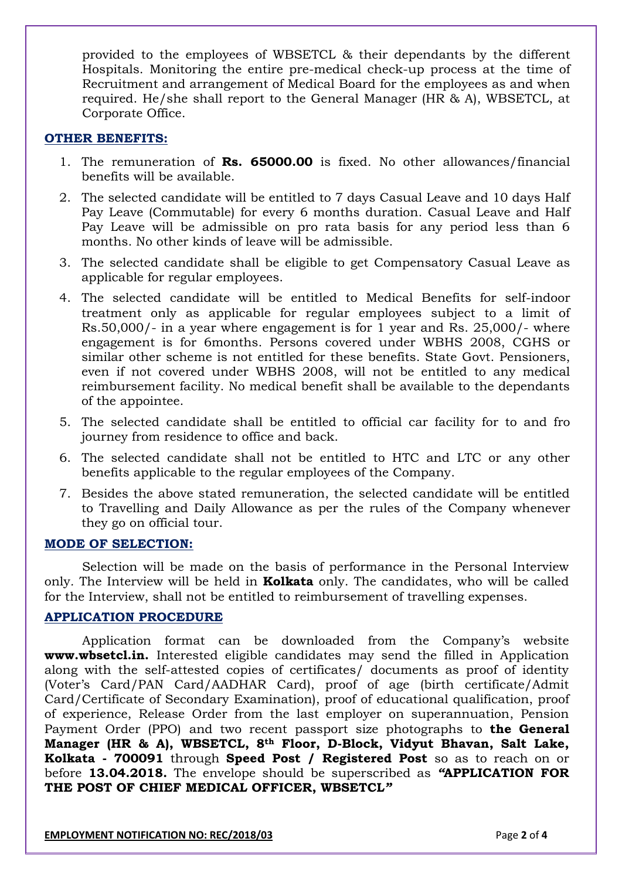provided to the employees of WBSETCL & their dependants by the different Hospitals. Monitoring the entire pre-medical check-up process at the time of Recruitment and arrangement of Medical Board for the employees as and when required. He/she shall report to the General Manager (HR & A), WBSETCL, at Corporate Office.

#### **OTHER BENEFITS:**

- 1. The remuneration of **Rs. 65000.00** is fixed. No other allowances/financial benefits will be available.
- 2. The selected candidate will be entitled to 7 days Casual Leave and 10 days Half Pay Leave (Commutable) for every 6 months duration. Casual Leave and Half Pay Leave will be admissible on pro rata basis for any period less than 6 months. No other kinds of leave will be admissible.
- 3. The selected candidate shall be eligible to get Compensatory Casual Leave as applicable for regular employees.
- 4. The selected candidate will be entitled to Medical Benefits for self-indoor treatment only as applicable for regular employees subject to a limit of Rs.50,000/- in a year where engagement is for 1 year and Rs. 25,000/- where engagement is for 6months. Persons covered under WBHS 2008, CGHS or similar other scheme is not entitled for these benefits. State Govt. Pensioners, even if not covered under WBHS 2008, will not be entitled to any medical reimbursement facility. No medical benefit shall be available to the dependants of the appointee.
- 5. The selected candidate shall be entitled to official car facility for to and fro journey from residence to office and back.
- 6. The selected candidate shall not be entitled to HTC and LTC or any other benefits applicable to the regular employees of the Company.
- 7. Besides the above stated remuneration, the selected candidate will be entitled to Travelling and Daily Allowance as per the rules of the Company whenever they go on official tour.

#### **MODE OF SELECTION:**

Selection will be made on the basis of performance in the Personal Interview only*.* The Interview will be held in **Kolkata** only. The candidates, who will be called for the Interview, shall not be entitled to reimbursement of travelling expenses.

### **APPLICATION PROCEDURE**

Application format can be downloaded from the Company's website **www.wbsetcl.in.** Interested eligible candidates may send the filled in Application along with the self-attested copies of certificates/ documents as proof of identity (Voter's Card/PAN Card/AADHAR Card), proof of age (birth certificate/Admit Card/Certificate of Secondary Examination), proof of educational qualification, proof of experience, Release Order from the last employer on superannuation, Pension Payment Order (PPO) and two recent passport size photographs to **the General Manager (HR & A), WBSETCL, 8th Floor, D-Block, Vidyut Bhavan, Salt Lake, Kolkata - 700091** through **Speed Post / Registered Post** so as to reach on or before **13.04.2018.** The envelope should be superscribed as *"***APPLICATION FOR THE POST OF CHIEF MEDICAL OFFICER, WBSETCL***"*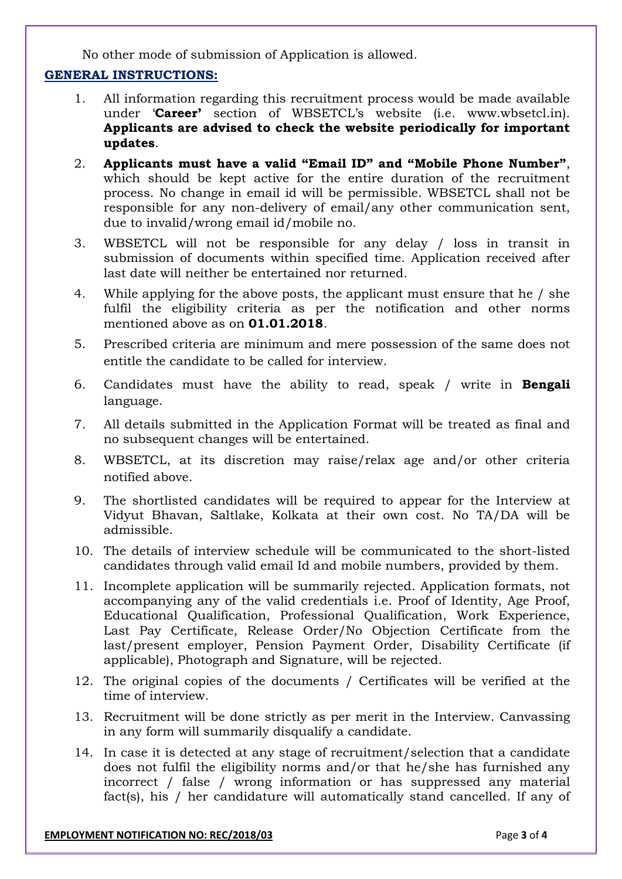No other mode of submission of Application is allowed.

### **GENERAL INSTRUCTIONS:**

- 1. All information regarding this recruitment process would be made available under '**Career'** section of WBSETCL's website (i.e. www.wbsetcl.in). **Applicants are advised to check the website periodically for important updates**.
- 2. **Applicants must have a valid "Email ID" and "Mobile Phone Number"**, which should be kept active for the entire duration of the recruitment process. No change in email id will be permissible. WBSETCL shall not be responsible for any non-delivery of email/any other communication sent, due to invalid/wrong email id/mobile no.
- 3. WBSETCL will not be responsible for any delay / loss in transit in submission of documents within specified time. Application received after last date will neither be entertained nor returned.
- 4. While applying for the above posts, the applicant must ensure that he / she fulfil the eligibility criteria as per the notification and other norms mentioned above as on **01.01.2018**.
- 5. Prescribed criteria are minimum and mere possession of the same does not entitle the candidate to be called for interview.
- 6. Candidates must have the ability to read, speak / write in **Bengali** language.
- 7. All details submitted in the Application Format will be treated as final and no subsequent changes will be entertained.
- 8. WBSETCL, at its discretion may raise/relax age and/or other criteria notified above.
- 9. The shortlisted candidates will be required to appear for the Interview at Vidyut Bhavan, Saltlake, Kolkata at their own cost. No TA/DA will be admissible.
- 10. The details of interview schedule will be communicated to the short-listed candidates through valid email Id and mobile numbers, provided by them.
- 11. Incomplete application will be summarily rejected. Application formats, not accompanying any of the valid credentials i.e. Proof of Identity, Age Proof, Educational Qualification, Professional Qualification, Work Experience, Last Pay Certificate, Release Order/No Objection Certificate from the last/present employer, Pension Payment Order, Disability Certificate (if applicable), Photograph and Signature, will be rejected.
- 12. The original copies of the documents / Certificates will be verified at the time of interview.
- 13. Recruitment will be done strictly as per merit in the Interview. Canvassing in any form will summarily disqualify a candidate.
- 14. In case it is detected at any stage of recruitment/selection that a candidate does not fulfil the eligibility norms and/or that he/she has furnished any incorrect / false / wrong information or has suppressed any material fact(s), his / her candidature will automatically stand cancelled. If any of